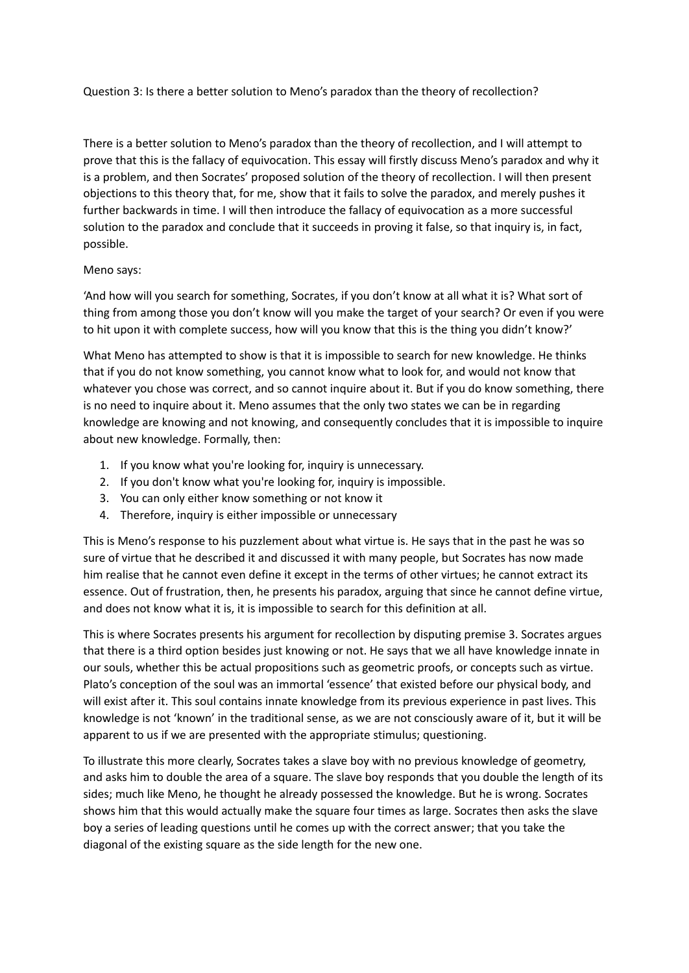Question 3: Is there a better solution to Meno's paradox than the theory of recollection?

There is a better solution to Meno's paradox than the theory of recollection, and I will attempt to prove that this is the fallacy of equivocation. This essay will firstly discuss Meno's paradox and why it is a problem, and then Socrates' proposed solution of the theory of recollection. I will then present objections to this theory that, for me, show that it fails to solve the paradox, and merely pushes it further backwards in time. I will then introduce the fallacy of equivocation as a more successful solution to the paradox and conclude that it succeeds in proving it false, so that inquiry is, in fact, possible.

## Meno says:

'And how will you search for something, Socrates, if you don't know at all what it is? What sort of thing from among those you don't know will you make the target of your search? Or even if you were to hit upon it with complete success, how will you know that this is the thing you didn't know?'

What Meno has attempted to show is that it is impossible to search for new knowledge. He thinks that if you do not know something, you cannot know what to look for, and would not know that whatever you chose was correct, and so cannot inquire about it. But if you do know something, there is no need to inquire about it. Meno assumes that the only two states we can be in regarding knowledge are knowing and not knowing, and consequently concludes that it is impossible to inquire about new knowledge. Formally, then:

- 1. If you know what you're looking for, inquiry is unnecessary.
- 2. If you don't know what you're looking for, inquiry is impossible.
- 3. You can only either know something or not know it
- 4. Therefore, inquiry is either impossible or unnecessary

This is Meno's response to his puzzlement about what virtue is. He says that in the past he was so sure of virtue that he described it and discussed it with many people, but Socrates has now made him realise that he cannot even define it except in the terms of other virtues; he cannot extract its essence. Out of frustration, then, he presents his paradox, arguing that since he cannot define virtue, and does not know what it is, it is impossible to search for this definition at all.

This is where Socrates presents his argument for recollection by disputing premise 3. Socrates argues that there is a third option besides just knowing or not. He says that we all have knowledge innate in our souls, whether this be actual propositions such as geometric proofs, or concepts such as virtue. Plato's conception of the soul was an immortal 'essence' that existed before our physical body, and will exist after it. This soul contains innate knowledge from its previous experience in past lives. This knowledge is not 'known' in the traditional sense, as we are not consciously aware of it, but it will be apparent to us if we are presented with the appropriate stimulus; questioning.

To illustrate this more clearly, Socrates takes a slave boy with no previous knowledge of geometry, and asks him to double the area of a square. The slave boy responds that you double the length of its sides; much like Meno, he thought he already possessed the knowledge. But he is wrong. Socrates shows him that this would actually make the square four times as large. Socrates then asks the slave boy a series of leading questions until he comes up with the correct answer; that you take the diagonal of the existing square as the side length for the new one.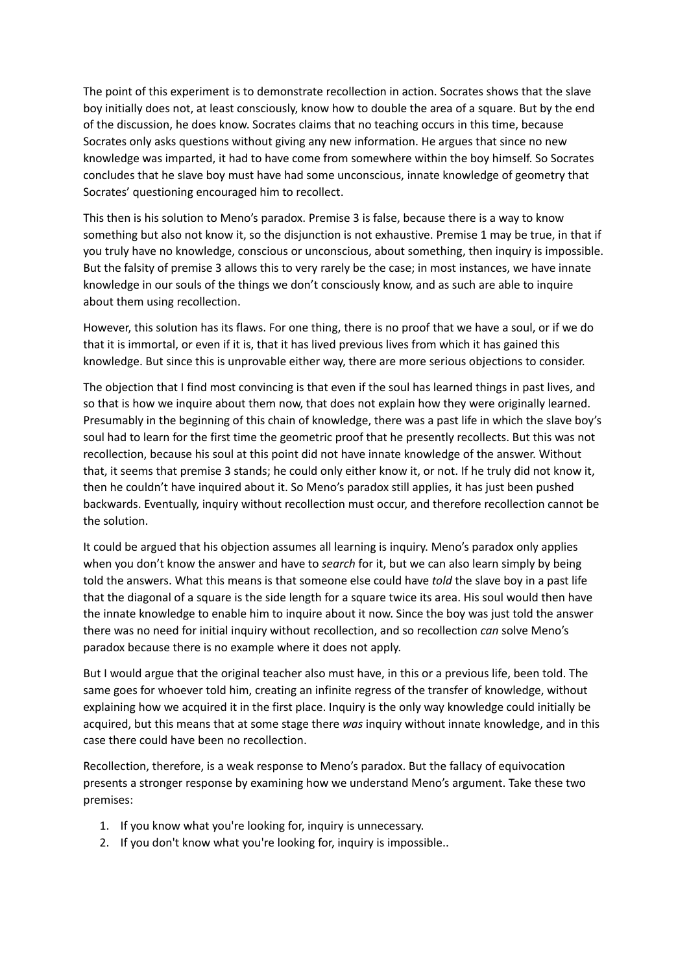The point of this experiment is to demonstrate recollection in action. Socrates shows that the slave boy initially does not, at least consciously, know how to double the area of a square. But by the end of the discussion, he does know. Socrates claims that no teaching occurs in this time, because Socrates only asks questions without giving any new information. He argues that since no new knowledge was imparted, it had to have come from somewhere within the boy himself. So Socrates concludes that he slave boy must have had some unconscious, innate knowledge of geometry that Socrates' questioning encouraged him to recollect.

This then is his solution to Meno's paradox. Premise 3 is false, because there is a way to know something but also not know it, so the disjunction is not exhaustive. Premise 1 may be true, in that if you truly have no knowledge, conscious or unconscious, about something, then inquiry is impossible. But the falsity of premise 3 allows this to very rarely be the case; in most instances, we have innate knowledge in our souls of the things we don't consciously know, and as such are able to inquire about them using recollection.

However, this solution has its flaws. For one thing, there is no proof that we have a soul, or if we do that it is immortal, or even if it is, that it has lived previous lives from which it has gained this knowledge. But since this is unprovable either way, there are more serious objections to consider.

The objection that I find most convincing is that even if the soul has learned things in past lives, and so that is how we inquire about them now, that does not explain how they were originally learned. Presumably in the beginning of this chain of knowledge, there was a past life in which the slave boy's soul had to learn for the first time the geometric proof that he presently recollects. But this was not recollection, because his soul at this point did not have innate knowledge of the answer. Without that, it seems that premise 3 stands; he could only either know it, or not. If he truly did not know it, then he couldn't have inquired about it. So Meno's paradox still applies, it has just been pushed backwards. Eventually, inquiry without recollection must occur, and therefore recollection cannot be the solution.

It could be argued that his objection assumes all learning is inquiry. Meno's paradox only applies when you don't know the answer and have to *search* for it, but we can also learn simply by being told the answers. What this means is that someone else could have *told* the slave boy in a past life that the diagonal of a square is the side length for a square twice its area. His soul would then have the innate knowledge to enable him to inquire about it now. Since the boy was just told the answer there was no need for initial inquiry without recollection, and so recollection *can* solve Meno's paradox because there is no example where it does not apply.

But I would argue that the original teacher also must have, in this or a previous life, been told. The same goes for whoever told him, creating an infinite regress of the transfer of knowledge, without explaining how we acquired it in the first place. Inquiry is the only way knowledge could initially be acquired, but this means that at some stage there *was* inquiry without innate knowledge, and in this case there could have been no recollection.

Recollection, therefore, is a weak response to Meno's paradox. But the fallacy of equivocation presents a stronger response by examining how we understand Meno's argument. Take these two premises:

- 1. If you know what you're looking for, inquiry is unnecessary.
- 2. If you don't know what you're looking for, inquiry is impossible..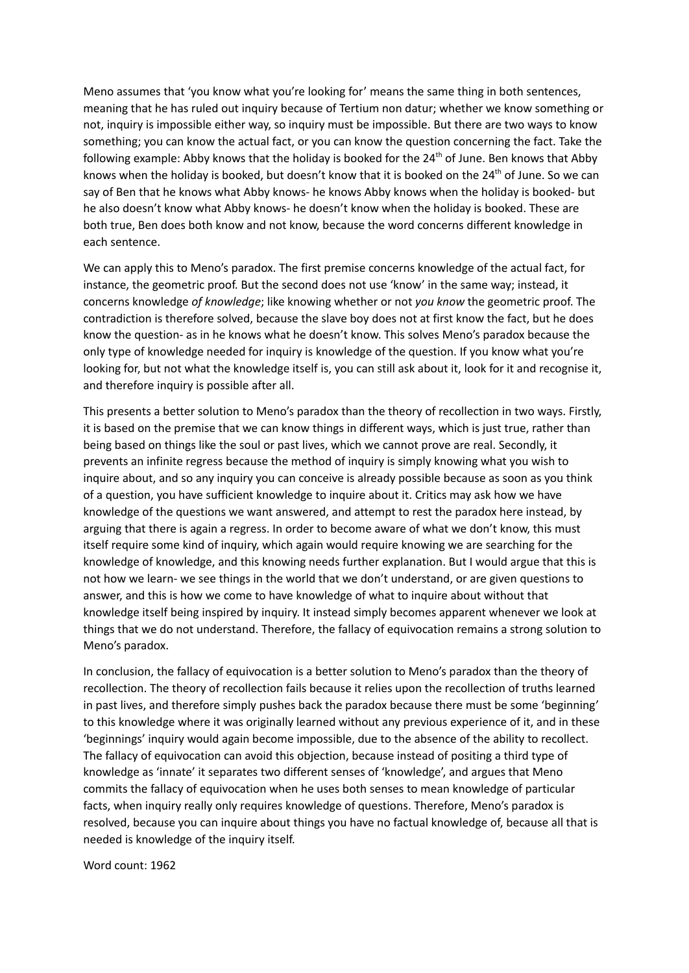Meno assumes that 'you know what you're looking for' means the same thing in both sentences, meaning that he has ruled out inquiry because of Tertium non datur; whether we know something or not, inquiry is impossible either way, so inquiry must be impossible. But there are two ways to know something; you can know the actual fact, or you can know the question concerning the fact. Take the following example: Abby knows that the holiday is booked for the 24<sup>th</sup> of June. Ben knows that Abby knows when the holiday is booked, but doesn't know that it is booked on the 24<sup>th</sup> of June. So we can say of Ben that he knows what Abby knows- he knows Abby knows when the holiday is booked- but he also doesn't know what Abby knows- he doesn't know when the holiday is booked. These are both true, Ben does both know and not know, because the word concerns different knowledge in each sentence.

We can apply this to Meno's paradox. The first premise concerns knowledge of the actual fact, for instance, the geometric proof. But the second does not use 'know' in the same way; instead, it concerns knowledge *of knowledge*; like knowing whether or not *you know* the geometric proof. The contradiction is therefore solved, because the slave boy does not at first know the fact, but he does know the question- as in he knows what he doesn't know. This solves Meno's paradox because the only type of knowledge needed for inquiry is knowledge of the question. If you know what you're looking for, but not what the knowledge itself is, you can still ask about it, look for it and recognise it, and therefore inquiry is possible after all.

This presents a better solution to Meno's paradox than the theory of recollection in two ways. Firstly, it is based on the premise that we can know things in different ways, which is just true, rather than being based on things like the soul or past lives, which we cannot prove are real. Secondly, it prevents an infinite regress because the method of inquiry is simply knowing what you wish to inquire about, and so any inquiry you can conceive is already possible because as soon as you think of a question, you have sufficient knowledge to inquire about it. Critics may ask how we have knowledge of the questions we want answered, and attempt to rest the paradox here instead, by arguing that there is again a regress. In order to become aware of what we don't know, this must itself require some kind of inquiry, which again would require knowing we are searching for the knowledge of knowledge, and this knowing needs further explanation. But I would argue that this is not how we learn- we see things in the world that we don't understand, or are given questions to answer, and this is how we come to have knowledge of what to inquire about without that knowledge itself being inspired by inquiry. It instead simply becomes apparent whenever we look at things that we do not understand. Therefore, the fallacy of equivocation remains a strong solution to Meno's paradox.

In conclusion, the fallacy of equivocation is a better solution to Meno's paradox than the theory of recollection. The theory of recollection fails because it relies upon the recollection of truths learned in past lives, and therefore simply pushes back the paradox because there must be some 'beginning' to this knowledge where it was originally learned without any previous experience of it, and in these 'beginnings' inquiry would again become impossible, due to the absence of the ability to recollect. The fallacy of equivocation can avoid this objection, because instead of positing a third type of knowledge as 'innate' it separates two different senses of 'knowledge', and argues that Meno commits the fallacy of equivocation when he uses both senses to mean knowledge of particular facts, when inquiry really only requires knowledge of questions. Therefore, Meno's paradox is resolved, because you can inquire about things you have no factual knowledge of, because all that is needed is knowledge of the inquiry itself.

Word count: 1962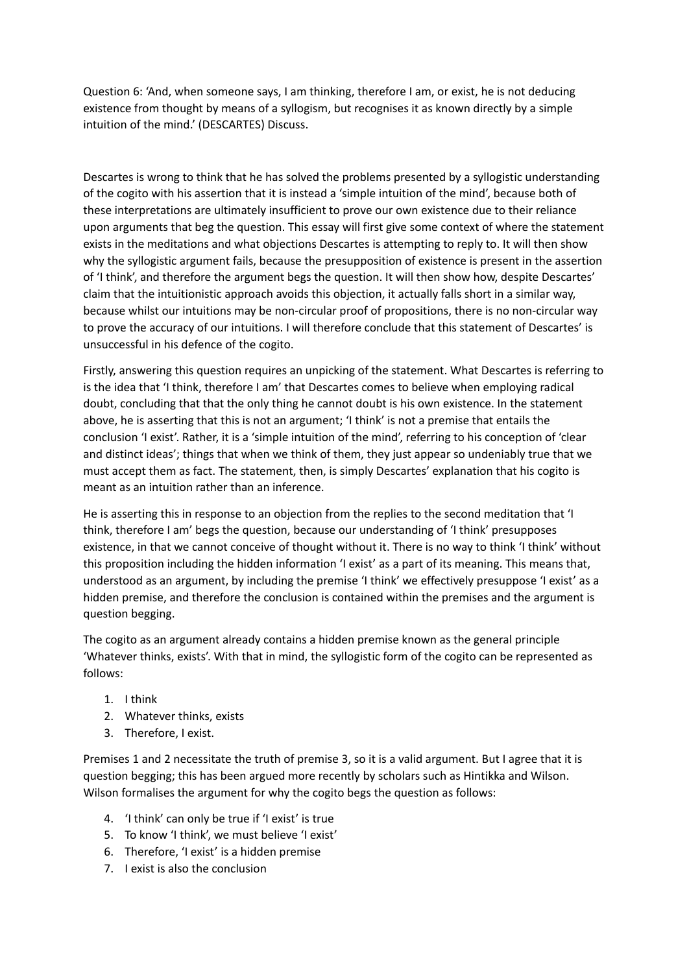Question 6: 'And, when someone says, I am thinking, therefore I am, or exist, he is not deducing existence from thought by means of a syllogism, but recognises it as known directly by a simple intuition of the mind.' (DESCARTES) Discuss.

Descartes is wrong to think that he has solved the problems presented by a syllogistic understanding of the cogito with his assertion that it is instead a 'simple intuition of the mind', because both of these interpretations are ultimately insufficient to prove our own existence due to their reliance upon arguments that beg the question. This essay will first give some context of where the statement exists in the meditations and what objections Descartes is attempting to reply to. It will then show why the syllogistic argument fails, because the presupposition of existence is present in the assertion of 'I think', and therefore the argument begs the question. It will then show how, despite Descartes' claim that the intuitionistic approach avoids this objection, it actually falls short in a similar way, because whilst our intuitions may be non-circular proof of propositions, there is no non-circular way to prove the accuracy of our intuitions. I will therefore conclude that this statement of Descartes' is unsuccessful in his defence of the cogito.

Firstly, answering this question requires an unpicking of the statement. What Descartes is referring to is the idea that 'I think, therefore I am' that Descartes comes to believe when employing radical doubt, concluding that that the only thing he cannot doubt is his own existence. In the statement above, he is asserting that this is not an argument; 'I think' is not a premise that entails the conclusion 'I exist'. Rather, it is a 'simple intuition of the mind', referring to his conception of 'clear and distinct ideas'; things that when we think of them, they just appear so undeniably true that we must accept them as fact. The statement, then, is simply Descartes' explanation that his cogito is meant as an intuition rather than an inference.

He is asserting this in response to an objection from the replies to the second meditation that 'I think, therefore I am' begs the question, because our understanding of 'I think' presupposes existence, in that we cannot conceive of thought without it. There is no way to think' I think' without this proposition including the hidden information 'I exist' as a part of its meaning. This means that, understood as an argument, by including the premise 'I think' we effectively presuppose 'I exist' as a hidden premise, and therefore the conclusion is contained within the premises and the argument is question begging.

The cogito as an argument already contains a hidden premise known as the general principle 'Whatever thinks, exists'. With that in mind, the syllogistic form of the cogito can be represented as follows:

- 1. I think
- 2. Whatever thinks, exists
- 3. Therefore, I exist.

Premises 1 and 2 necessitate the truth of premise 3, so it is a valid argument. But I agree that it is question begging; this has been argued more recently by scholars such as Hintikka and Wilson. Wilson formalises the argument for why the cogito begs the question as follows:

- 4. 'I think' can only be true if 'I exist' is true
- 5. To know 'I think', we must believe 'I exist'
- 6. Therefore, 'I exist' is a hidden premise
- 7. I exist is also the conclusion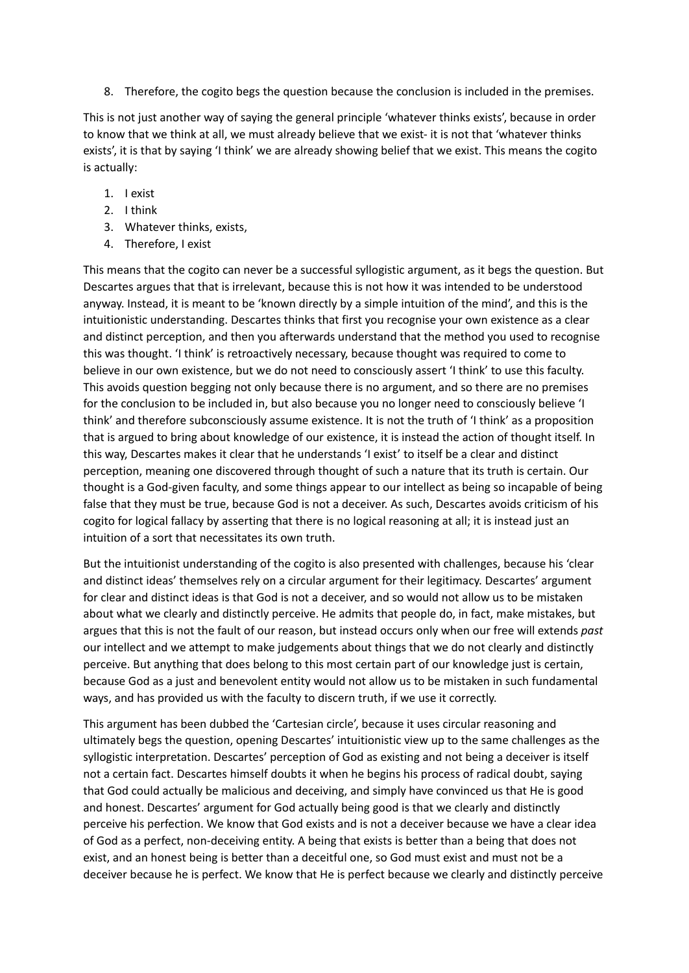8. Therefore, the cogito begs the question because the conclusion is included in the premises.

This is not just another way of saying the general principle 'whatever thinks exists', because in order to know that we think at all, we must already believe that we exist- it is not that 'whatever thinks exists', it is that by saying 'I think' we are already showing belief that we exist. This means the cogito is actually:

- 1. I exist
- 2. I think
- 3. Whatever thinks, exists,
- 4. Therefore, I exist

This means that the cogito can never be a successful syllogistic argument, as it begs the question. But Descartes argues that that is irrelevant, because this is not how it was intended to be understood anyway. Instead, it is meant to be 'known directly by a simple intuition of the mind', and this is the intuitionistic understanding. Descartes thinks that first you recognise your own existence as a clear and distinct perception, and then you afterwards understand that the method you used to recognise this was thought. 'I think' is retroactively necessary, because thought was required to come to believe in our own existence, but we do not need to consciously assert 'I think' to use this faculty. This avoids question begging not only because there is no argument, and so there are no premises for the conclusion to be included in, but also because you no longer need to consciously believe 'I think' and therefore subconsciously assume existence. It is not the truth of 'I think' as a proposition that is argued to bring about knowledge of our existence, it is instead the action of thought itself. In this way, Descartes makes it clear that he understands 'I exist' to itself be a clear and distinct perception, meaning one discovered through thought of such a nature that its truth is certain. Our thought is a God-given faculty, and some things appear to our intellect as being so incapable of being false that they must be true, because God is not a deceiver. As such, Descartes avoids criticism of his cogito for logical fallacy by asserting that there is no logical reasoning at all; it is instead just an intuition of a sort that necessitates its own truth.

But the intuitionist understanding of the cogito is also presented with challenges, because his 'clear and distinct ideas' themselves rely on a circular argument for their legitimacy. Descartes' argument for clear and distinct ideas is that God is not a deceiver, and so would not allow us to be mistaken about what we clearly and distinctly perceive. He admits that people do, in fact, make mistakes, but argues that this is not the fault of our reason, but instead occurs only when our free will extends *past* our intellect and we attempt to make judgements about things that we do not clearly and distinctly perceive. But anything that does belong to this most certain part of our knowledge just is certain, because God as a just and benevolent entity would not allow us to be mistaken in such fundamental ways, and has provided us with the faculty to discern truth, if we use it correctly.

This argument has been dubbed the 'Cartesian circle', because it uses circular reasoning and ultimately begs the question, opening Descartes' intuitionistic view up to the same challenges as the syllogistic interpretation. Descartes' perception of God as existing and not being a deceiver is itself not a certain fact. Descartes himself doubts it when he begins his process of radical doubt, saying that God could actually be malicious and deceiving, and simply have convinced us that He is good and honest. Descartes' argument for God actually being good is that we clearly and distinctly perceive his perfection. We know that God exists and is not a deceiver because we have a clear idea of God as a perfect, non-deceiving entity. A being that exists is better than a being that does not exist, and an honest being is better than a deceitful one, so God must exist and must not be a deceiver because he is perfect. We know that He is perfect because we clearly and distinctly perceive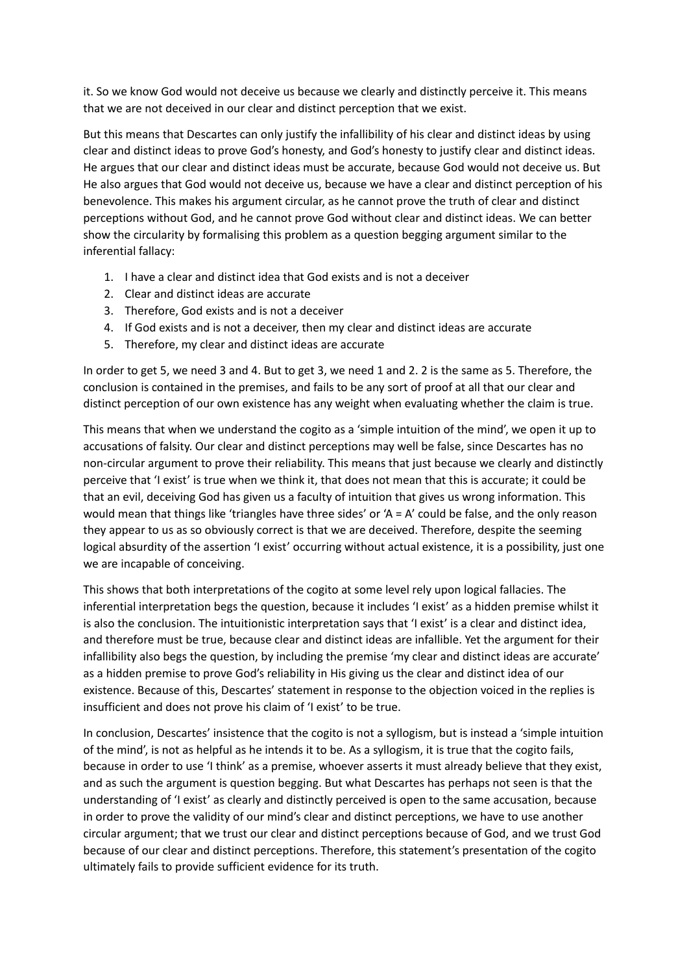it. So we know God would not deceive us because we clearly and distinctly perceive it. This means that we are not deceived in our clear and distinct perception that we exist.

But this means that Descartes can only justify the infallibility of his clear and distinct ideas by using clear and distinct ideas to prove God's honesty, and God's honesty to justify clear and distinct ideas. He argues that our clear and distinct ideas must be accurate, because God would not deceive us. But He also argues that God would not deceive us, because we have a clear and distinct perception of his benevolence. This makes his argument circular, as he cannot prove the truth of clear and distinct perceptions without God, and he cannot prove God without clear and distinct ideas. We can better show the circularity by formalising this problem as a question begging argument similar to the inferential fallacy:

- 1. I have a clear and distinct idea that God exists and is not a deceiver
- 2. Clear and distinct ideas are accurate
- 3. Therefore, God exists and is not a deceiver
- 4. If God exists and is not a deceiver, then my clear and distinct ideas are accurate
- 5. Therefore, my clear and distinct ideas are accurate

In order to get 5, we need 3 and 4. But to get 3, we need 1 and 2. 2 is the same as 5. Therefore, the conclusion is contained in the premises, and fails to be any sort of proof at all that our clear and distinct perception of our own existence has any weight when evaluating whether the claim is true.

This means that when we understand the cogito as a 'simple intuition of the mind', we open it up to accusations of falsity. Our clear and distinct perceptions may well be false, since Descartes has no non-circular argument to prove their reliability. This means that just because we clearly and distinctly perceive that 'I exist' is true when we think it, that does not mean that this is accurate; it could be that an evil, deceiving God has given us a faculty of intuition that gives us wrong information. This would mean that things like 'triangles have three sides' or 'A = A' could be false, and the only reason they appear to us as so obviously correct is that we are deceived. Therefore, despite the seeming logical absurdity of the assertion 'I exist' occurring without actual existence, it is a possibility, just one we are incapable of conceiving.

This shows that both interpretations of the cogito at some level rely upon logical fallacies. The inferential interpretation begs the question, because it includes 'I exist' as a hidden premise whilst it is also the conclusion. The intuitionistic interpretation says that 'I exist' is a clear and distinct idea, and therefore must be true, because clear and distinct ideas are infallible. Yet the argument for their infallibility also begs the question, by including the premise 'my clear and distinct ideas are accurate' as a hidden premise to prove God's reliability in His giving us the clear and distinct idea of our existence. Because of this, Descartes' statement in response to the objection voiced in the replies is insufficient and does not prove his claim of 'I exist' to be true.

In conclusion, Descartes' insistence that the cogito is not a syllogism, but is instead a 'simple intuition of the mind', is not as helpful as he intends it to be. As a syllogism, it is true that the cogito fails, because in order to use 'I think' as a premise, whoever asserts it must already believe that they exist, and as such the argument is question begging. But what Descartes has perhaps not seen is that the understanding of 'I exist' as clearly and distinctly perceived is open to the same accusation, because in order to prove the validity of our mind's clear and distinct perceptions, we have to use another circular argument; that we trust our clear and distinct perceptions because of God, and we trust God because of our clear and distinct perceptions. Therefore, this statement's presentation of the cogito ultimately fails to provide sufficient evidence for its truth.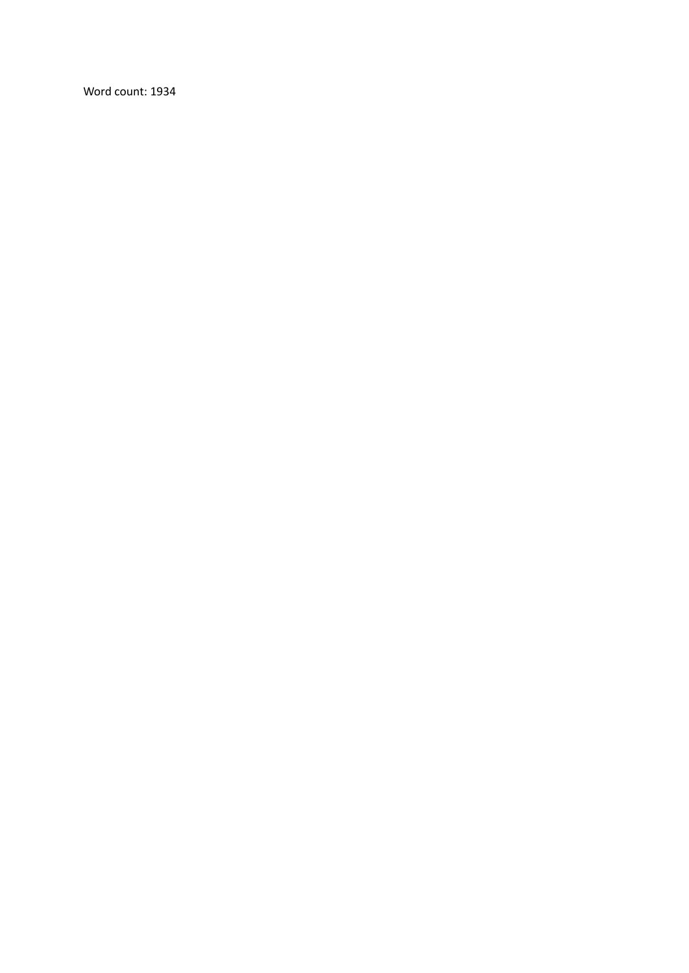Word count: 1934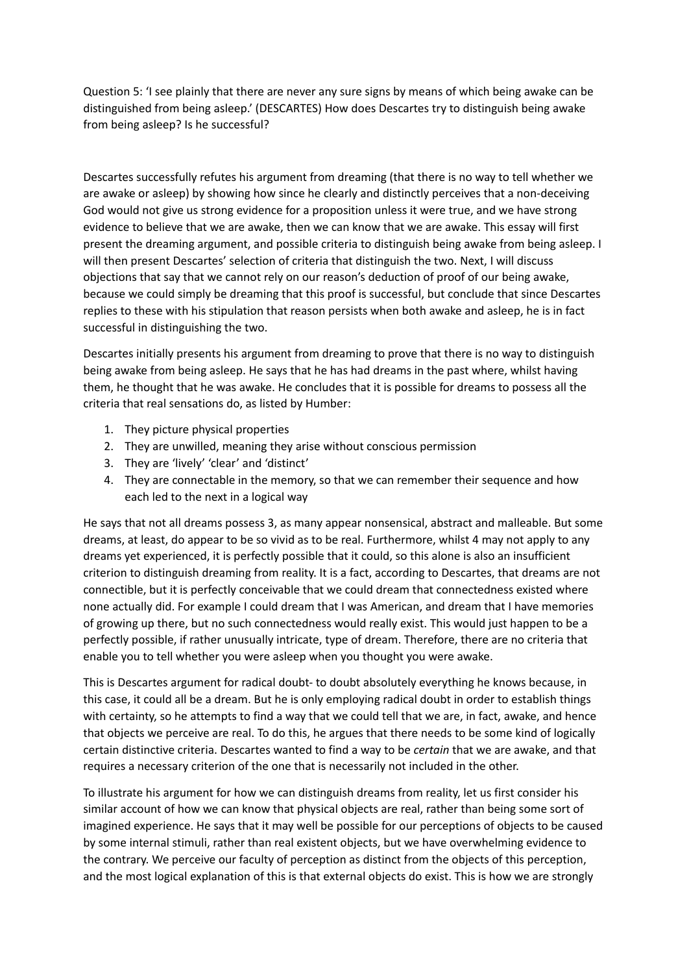Question 5: 'I see plainly that there are never any sure signs by means of which being awake can be distinguished from being asleep.' (DESCARTES) How does Descartes try to distinguish being awake from being asleep? Is he successful?

Descartes successfully refutes his argument from dreaming (that there is no way to tell whether we are awake or asleep) by showing how since he clearly and distinctly perceives that a non-deceiving God would not give us strong evidence for a proposition unless it were true, and we have strong evidence to believe that we are awake, then we can know that we are awake. This essay will first present the dreaming argument, and possible criteria to distinguish being awake from being asleep. I will then present Descartes' selection of criteria that distinguish the two. Next, I will discuss objections that say that we cannot rely on our reason's deduction of proof of our being awake, because we could simply be dreaming that this proof is successful, but conclude that since Descartes replies to these with his stipulation that reason persists when both awake and asleep, he is in fact successful in distinguishing the two.

Descartes initially presents his argument from dreaming to prove that there is no way to distinguish being awake from being asleep. He says that he has had dreams in the past where, whilst having them, he thought that he was awake. He concludes that it is possible for dreams to possess all the criteria that real sensations do, as listed by Humber:

- 1. They picture physical properties
- 2. They are unwilled, meaning they arise without conscious permission
- 3. They are 'lively' 'clear' and 'distinct'
- 4. They are connectable in the memory, so that we can remember their sequence and how each led to the next in a logical way

He says that not all dreams possess 3, as many appear nonsensical, abstract and malleable. But some dreams, at least, do appear to be so vivid as to be real. Furthermore, whilst 4 may not apply to any dreams yet experienced, it is perfectly possible that it could, so this alone is also an insufficient criterion to distinguish dreaming from reality. It is a fact, according to Descartes, that dreams are not connectible, but it is perfectly conceivable that we could dream that connectedness existed where none actually did. For example I could dream that I was American, and dream that I have memories of growing up there, but no such connectedness would really exist. This would just happen to be a perfectly possible, if rather unusually intricate, type of dream. Therefore, there are no criteria that enable you to tell whether you were asleep when you thought you were awake.

This is Descartes argument for radical doubt- to doubt absolutely everything he knows because, in this case, it could all be a dream. But he is only employing radical doubt in order to establish things with certainty, so he attempts to find a way that we could tell that we are, in fact, awake, and hence that objects we perceive are real. To do this, he argues that there needs to be some kind of logically certain distinctive criteria. Descartes wanted to find a way to be *certain* that we are awake, and that requires a necessary criterion of the one that is necessarily not included in the other.

To illustrate his argument for how we can distinguish dreams from reality, let us first consider his similar account of how we can know that physical objects are real, rather than being some sort of imagined experience. He says that it may well be possible for our perceptions of objects to be caused by some internal stimuli, rather than real existent objects, but we have overwhelming evidence to the contrary. We perceive our faculty of perception as distinct from the objects of this perception, and the most logical explanation of this is that external objects do exist. This is how we are strongly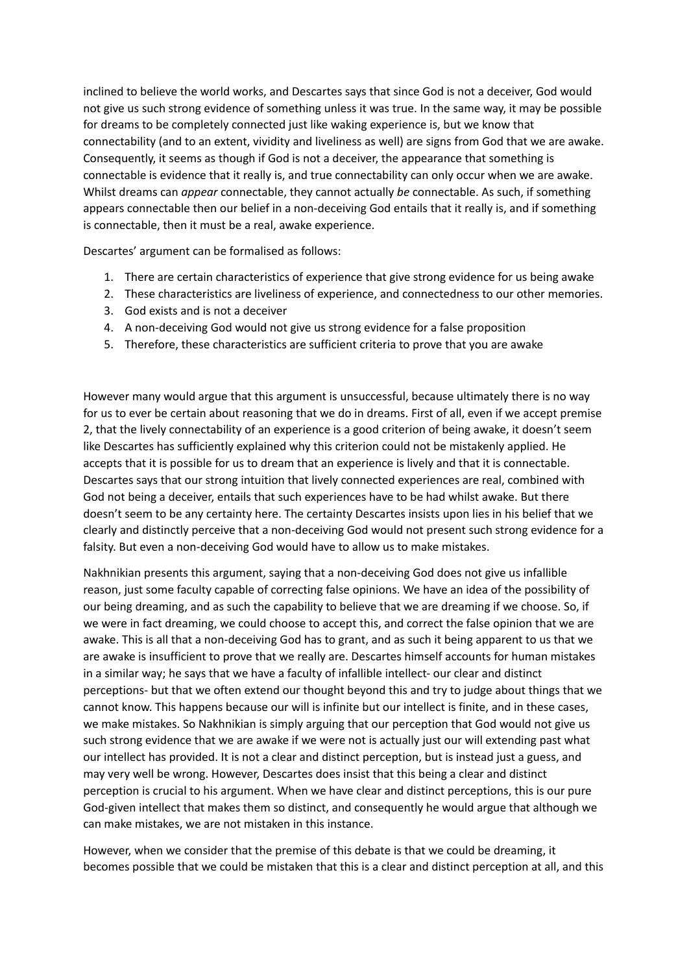inclined to believe the world works, and Descartes says that since God is not a deceiver, God would not give us such strong evidence of something unless it was true. In the same way, it may be possible for dreams to be completely connected just like waking experience is, but we know that connectability (and to an extent, vividity and liveliness as well) are signs from God that we are awake. Consequently, it seems as though if God is not a deceiver, the appearance that something is connectable is evidence that it really is, and true connectability can only occur when we are awake. Whilst dreams can *appear* connectable, they cannot actually *be* connectable. As such, if something appears connectable then our belief in a non-deceiving God entails that it really is, and if something is connectable, then it must be a real, awake experience.

Descartes' argument can be formalised as follows:

- 1. There are certain characteristics of experience that give strong evidence for us being awake
- 2. These characteristics are liveliness of experience, and connectedness to our other memories.
- 3. God exists and is not a deceiver
- 4. A non-deceiving God would not give us strong evidence for a false proposition
- 5. Therefore, these characteristics are sufficient criteria to prove that you are awake

However many would argue that this argument is unsuccessful, because ultimately there is no way for us to ever be certain about reasoning that we do in dreams. First of all, even if we accept premise 2, that the lively connectability of an experience is a good criterion of being awake, it doesn't seem like Descartes has sufficiently explained why this criterion could not be mistakenly applied. He accepts that it is possible for us to dream that an experience is lively and that it is connectable. Descartes says that our strong intuition that lively connected experiences are real, combined with God not being a deceiver, entails that such experiences have to be had whilst awake. But there doesn't seem to be any certainty here. The certainty Descartes insists upon lies in his belief that we clearly and distinctly perceive that a non-deceiving God would not present such strong evidence for a falsity. But even a non-deceiving God would have to allow us to make mistakes.

Nakhnikian presents this argument, saying that a non-deceiving God does not give us infallible reason, just some faculty capable of correcting false opinions. We have an idea of the possibility of our being dreaming, and as such the capability to believe that we are dreaming if we choose. So, if we were in fact dreaming, we could choose to accept this, and correct the false opinion that we are awake. This is all that a non-deceiving God has to grant, and as such it being apparent to us that we are awake is insufficient to prove that we really are. Descartes himself accounts for human mistakes in a similar way; he says that we have a faculty of infallible intellect- our clear and distinct perceptions- but that we often extend our thought beyond this and try to judge about things that we cannot know. This happens because our will is infinite but our intellect is finite, and in these cases, we make mistakes. So Nakhnikian is simply arguing that our perception that God would not give us such strong evidence that we are awake if we were not is actually just our will extending past what our intellect has provided. It is not a clear and distinct perception, but is instead just a guess, and may very well be wrong. However, Descartes does insist that this being a clear and distinct perception is crucial to his argument. When we have clear and distinct perceptions, this is our pure God-given intellect that makes them so distinct, and consequently he would argue that although we can make mistakes, we are not mistaken in this instance.

However, when we consider that the premise of this debate is that we could be dreaming, it becomes possible that we could be mistaken that this is a clear and distinct perception at all, and this